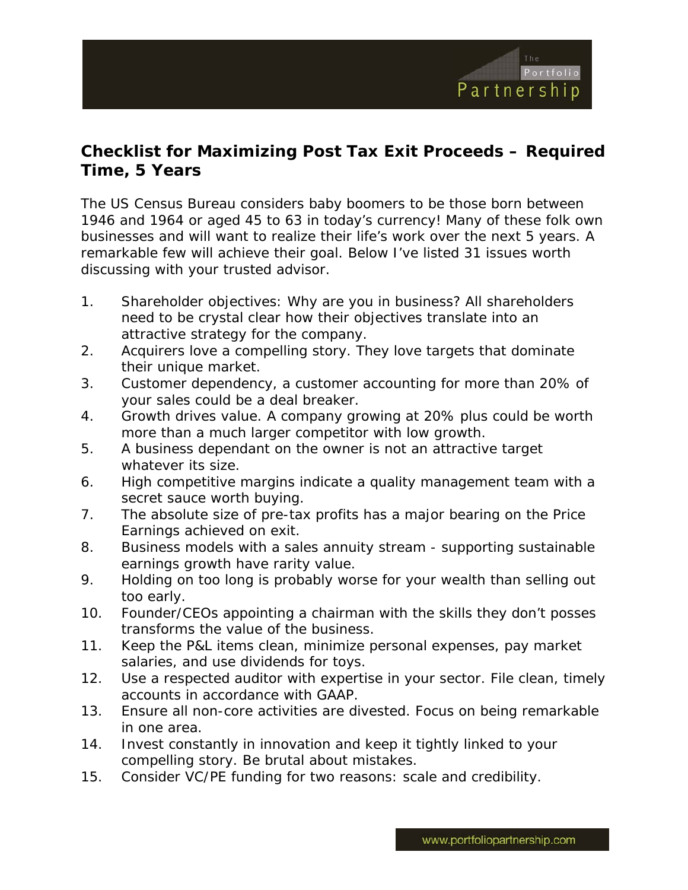

## **Checklist for Maximizing Post Tax Exit Proceeds – Required Time, 5 Years**

The US Census Bureau considers baby boomers to be those born between 1946 and 1964 or aged 45 to 63 in today's currency! Many of these folk own businesses and will want to realize their life's work over the next 5 years. A remarkable few will achieve their goal. Below I've listed 31 issues worth discussing with your trusted advisor.

- 1. Shareholder objectives: Why are you in business? All shareholders need to be crystal clear how their objectives translate into an attractive strategy for the company.
- 2. Acquirers love a compelling story. They love targets that dominate their unique market.
- 3. Customer dependency, a customer accounting for more than 20% of your sales could be a deal breaker.
- 4. Growth drives value. A company growing at 20% plus could be worth more than a much larger competitor with low growth.
- 5. A business dependant on the owner is not an attractive target whatever its size.
- 6. High competitive margins indicate a quality management team with a secret sauce worth buying.
- 7. The absolute size of pre-tax profits has a major bearing on the Price Earnings achieved on exit.
- 8. Business models with a sales annuity stream supporting sustainable earnings growth have rarity value.
- 9. Holding on too long is probably worse for your wealth than selling out too early.
- 10. Founder/CEOs appointing a chairman with the skills they don't posses transforms the value of the business.
- 11. Keep the P&L items clean, minimize personal expenses, pay market salaries, and use dividends for toys.
- 12. Use a respected auditor with expertise in your sector. File clean, timely accounts in accordance with GAAP.
- 13. Ensure all non-core activities are divested. Focus on being remarkable in one area.
- 14. Invest constantly in innovation and keep it tightly linked to your compelling story. Be brutal about mistakes.
- 15. Consider VC/PE funding for two reasons: scale and credibility.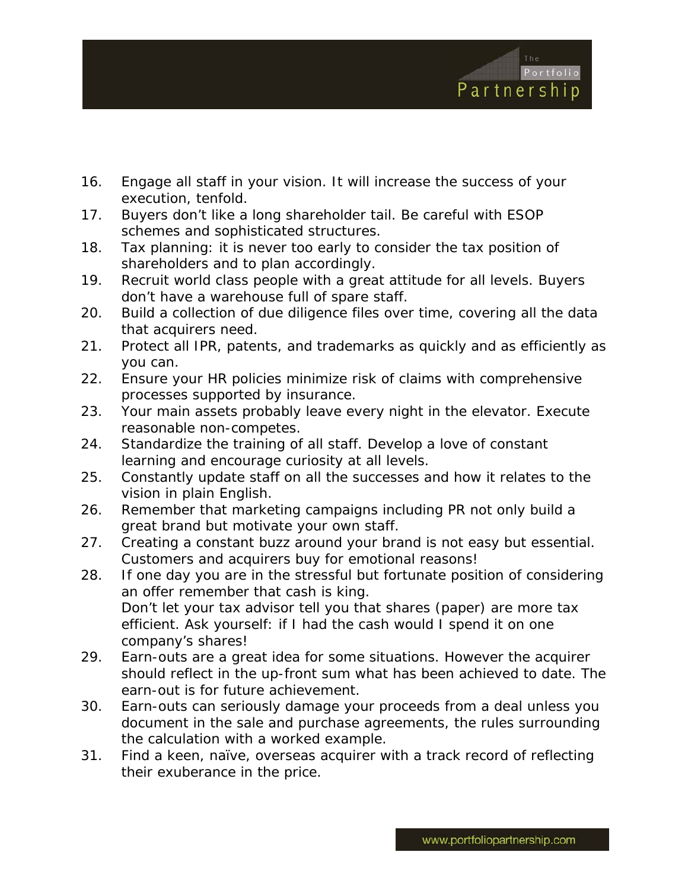

- 16. Engage all staff in your vision. It will increase the success of your execution, tenfold.
- 17. Buyers don't like a long shareholder tail. Be careful with ESOP schemes and sophisticated structures.
- 18. Tax planning: it is never too early to consider the tax position of shareholders and to plan accordingly.
- 19. Recruit world class people with a great attitude for all levels. Buyers don't have a warehouse full of spare staff.
- 20. Build a collection of due diligence files over time, covering all the data that acquirers need.
- 21. Protect all IPR, patents, and trademarks as quickly and as efficiently as you can.
- 22. Ensure your HR policies minimize risk of claims with comprehensive processes supported by insurance.
- 23. Your main assets probably leave every night in the elevator. Execute reasonable non-competes.
- 24. Standardize the training of all staff. Develop a love of constant learning and encourage curiosity at all levels.
- 25. Constantly update staff on all the successes and how it relates to the vision in plain English.
- 26. Remember that marketing campaigns including PR not only build a great brand but motivate your own staff.
- 27. Creating a constant buzz around your brand is not easy but essential. Customers and acquirers buy for emotional reasons!
- 28. If one day you are in the stressful but fortunate position of considering an offer remember that cash is king. Don't let your tax advisor tell you that shares (paper) are more tax efficient. Ask yourself: if I had the cash would I spend it on one company's shares!
- 29. Earn-outs are a great idea for some situations. However the acquirer should reflect in the up-front sum what has been achieved to date. The earn-out is for future achievement.
- 30. Earn-outs can seriously damage your proceeds from a deal unless you document in the sale and purchase agreements, the rules surrounding the calculation with a worked example.
- 31. Find a keen, naïve, overseas acquirer with a track record of reflecting their exuberance in the price.